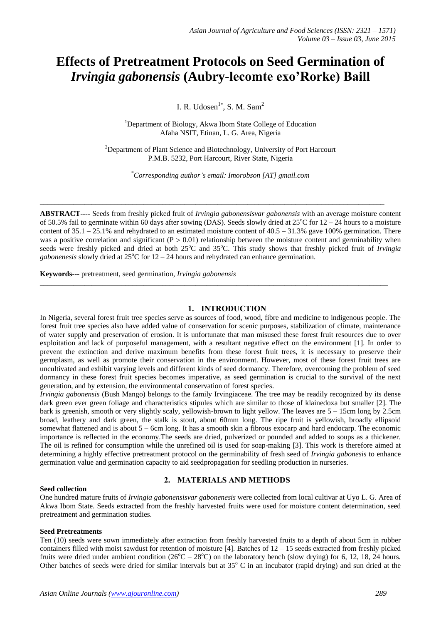# **Effects of Pretreatment Protocols on Seed Germination of**  *Irvingia gabonensis* **(Aubry-lecomte exo'Rorke) Baill**

I. R. Udosen $1^*$ , S. M. Sam<sup>2</sup>

<sup>1</sup>Department of Biology, Akwa Ibom State College of Education Afaha NSIT, Etinan, L. G. Area, Nigeria

<sup>2</sup>Department of Plant Science and Biotechnology, University of Port Harcourt P.M.B. 5232, Port Harcourt, River State, Nigeria

\**Corresponding author's email: Imorobson [AT] gmail.com*

**\_\_\_\_\_\_\_\_\_\_\_\_\_\_\_\_\_\_\_\_\_\_\_\_\_\_\_\_\_\_\_\_\_\_\_\_\_\_\_\_\_\_\_\_\_\_\_\_\_\_\_\_\_\_\_\_\_\_\_\_\_\_\_\_\_\_\_\_\_\_\_\_\_\_\_\_\_\_\_\_\_\_\_\_\_\_\_\_\_\_\_\_\_**

**ABSTRACT----** Seeds from freshly picked fruit of *Irvingia gabonensisvar gabonensis* with an average moisture content of 50.5% fail to germinate within 60 days after sowing (DAS). Seeds slowly dried at  $25^{\circ}$ C for  $12 - 24$  hours to a moisture content of  $35.1 - 25.1\%$  and rehydrated to an estimated moisture content of  $40.5 - 31.3\%$  gave 100% germination. There was a positive correlation and significant ( $P > 0.01$ ) relationship between the moisture content and germinability when seeds were freshly picked and dried at both 25<sup>o</sup>C and 35<sup>o</sup>C. This study shows that freshly picked fruit of *Irvingia gabonenesis* slowly dried at  $25^{\circ}$ C for  $12 - 24$  hours and rehydrated can enhance germination.

*\_\_\_\_\_\_\_\_\_\_\_\_\_\_\_\_\_\_\_\_\_\_\_\_\_\_\_\_\_\_\_\_\_\_\_\_\_\_\_\_\_\_\_\_\_\_\_\_\_\_\_\_\_\_\_\_\_\_\_\_\_\_\_\_\_\_\_\_\_\_\_\_\_\_\_\_\_\_\_\_\_\_\_\_\_\_\_\_\_\_\_\_\_\_*

**Keywords***---* pretreatment, seed germination, *Irvingia gabonensis*

# **1. INTRODUCTION**

In Nigeria, several forest fruit tree species serve as sources of food, wood, fibre and medicine to indigenous people. The forest fruit tree species also have added value of conservation for scenic purposes, stabilization of climate, maintenance of water supply and preservation of erosion. It is unfortunate that man misused these forest fruit resources due to over exploitation and lack of purposeful management, with a resultant negative effect on the environment [1]. In order to prevent the extinction and derive maximum benefits from these forest fruit trees, it is necessary to preserve their germplasm, as well as promote their conservation in the environment. However, most of these forest fruit trees are uncultivated and exhibit varying levels and different kinds of seed dormancy. Therefore, overcoming the problem of seed dormancy in these forest fruit species becomes imperative, as seed germination is crucial to the survival of the next generation, and by extension, the environmental conservation of forest species.

*Irvingia gabonensis* (Bush Mango) belongs to the family Irvingiaceae. The tree may be readily recognized by its dense dark green ever green foliage and characteristics stipules which are similar to those of klainedoxa but smaller [2]. The bark is greenish, smooth or very slightly scaly, yellowish-brown to light yellow. The leaves are 5 – 15cm long by 2.5cm broad, leathery and dark green, the stalk is stout, about 60mm long. The ripe fruit is yellowish, broadly ellipsoid somewhat flattened and is about 5 – 6cm long. It has a smooth skin a fibrous exocarp and hard endocarp. The economic importance is reflected in the economy.The seeds are dried, pulverized or pounded and added to soups as a thickener. The oil is refined for consumption while the unrefined oil is used for soap-making [3]. This work is therefore aimed at determining a highly effective pretreatment protocol on the germinability of fresh seed of *Irvingia gabonesis* to enhance germination value and germination capacity to aid seedpropagation for seedling production in nurseries.

## **Seed collection**

# **2. MATERIALS AND METHODS**

One hundred mature fruits of *Irvingia gabonensisvar gabonenesis* were collected from local cultivar at Uyo L. G. Area of Akwa Ibom State. Seeds extracted from the freshly harvested fruits were used for moisture content determination, seed pretreatment and germination studies.

## **Seed Pretreatments**

Ten (10) seeds were sown immediately after extraction from freshly harvested fruits to a depth of about 5cm in rubber containers filled with moist sawdust for retention of moisture  $[4]$ . Batches of  $12 - 15$  seeds extracted from freshly picked fruits were dried under ambient condition  $(26^{\circ}C - 28^{\circ}C)$  on the laboratory bench (slow drying) for 6, 12, 18, 24 hours. Other batches of seeds were dried for similar intervals but at  $35^{\circ}$  C in an incubator (rapid drying) and sun dried at the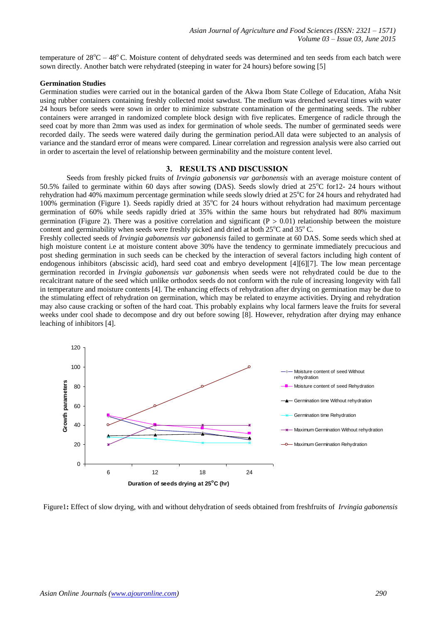temperature of  $28^{\circ}$ C –  $48^{\circ}$ C. Moisture content of dehydrated seeds was determined and ten seeds from each batch were sown directly. Another batch were rehydrated (steeping in water for 24 hours) before sowing [5]

#### **Germination Studies**

Germination studies were carried out in the botanical garden of the Akwa Ibom State College of Education, Afaha Nsit using rubber containers containing freshly collected moist sawdust. The medium was drenched several times with water 24 hours before seeds were sown in order to minimize substrate contamination of the germinating seeds. The rubber containers were arranged in randomized complete block design with five replicates. Emergence of radicle through the seed coat by more than 2mm was used as index for germination of whole seeds. The number of germinated seeds were recorded daily. The seeds were watered daily during the germination period.All data were subjected to an analysis of variance and the standard error of means were compared. Linear correlation and regression analysis were also carried out in order to ascertain the level of relationship between germinability and the moisture content level.

#### **3. RESULTS AND DISCUSSION**

Seeds from freshly picked fruits of *Irvingia gabonensis var garbonensis* with an average moisture content of 50.5% failed to germinate within 60 days after sowing (DAS). Seeds slowly dried at  $25^{\circ}$ C for12- 24 hours without rehydration had 40% maximum percentage germination while seeds slowly dried at  $25^{\circ}$ C for 24 hours and rehydrated had 100% germination (Figure 1). Seeds rapidly dried at  $35^{\circ}$ C for 24 hours without rehydration had maximum percentage germination of 60% while seeds rapidly dried at 35% within the same hours but rehydrated had 80% maximum germination (Figure 2). There was a positive correlation and significant ( $P > 0.01$ ) relationship between the moisture content and germinability when seeds were freshly picked and dried at both  $25^{\circ}$ C and  $35^{\circ}$ C.

Freshly collected seeds of *Irvingia gabonensis var gabonensis* failed to germinate at 60 DAS. Some seeds which shed at high moisture content i.e at moisture content above 30% have the tendency to germinate immediately precucious and post sheding germination in such seeds can be checked by the interaction of several factors including high content of endogenous inhibitors (abscissic acid), hard seed coat and embryo development [4][6][7]. The low mean percentage germination recorded in *Irvingia gabonensis var gabonensis* when seeds were not rehydrated could be due to the recalcitrant nature of the seed which unlike orthodox seeds do not conform with the rule of increasing longevity with fall in temperature and moisture contents [4]. The enhancing effects of rehydration after drying on germination may be due to the stimulating effect of rehydration on germination, which may be related to enzyme activities. Drying and rehydration may also cause cracking or soften of the hard coat. This probably explains why local farmers leave the fruits for several weeks under cool shade to decompose and dry out before sowing [8]. However, rehydration after drying may enhance leaching of inhibitors [4].